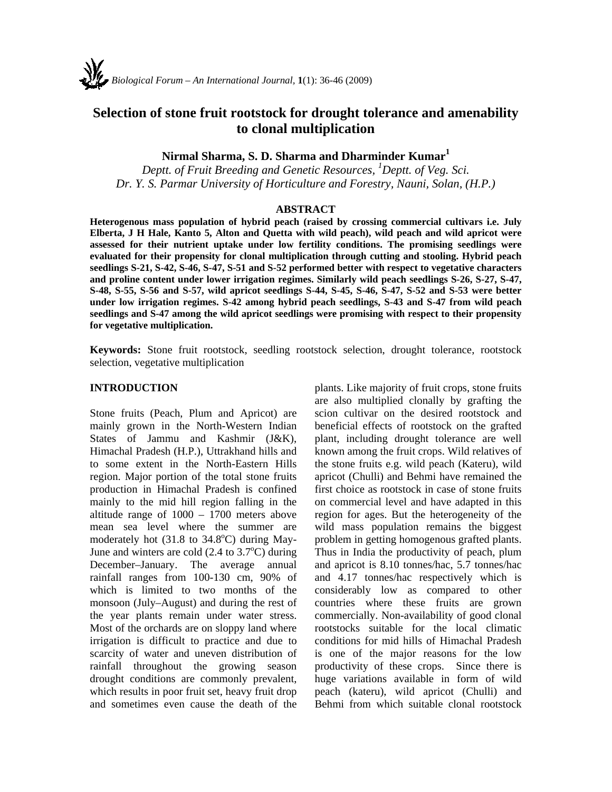# **Selection of stone fruit rootstock for drought tolerance and amenability to clonal multiplication**

## **Nirmal Sharma, S. D. Sharma and Dharminder Kumar<sup>1</sup>**

*Deptt. of Fruit Breeding and Genetic Resources, 1 Deptt. of Veg. Sci. Dr. Y. S. Parmar University of Horticulture and Forestry, Nauni, Solan, (H.P.)* 

#### **ABSTRACT**

**Heterogenous mass population of hybrid peach (raised by crossing commercial cultivars i.e. July Elberta, J H Hale, Kanto 5, Alton and Quetta with wild peach), wild peach and wild apricot were assessed for their nutrient uptake under low fertility conditions. The promising seedlings were evaluated for their propensity for clonal multiplication through cutting and stooling. Hybrid peach seedlings S-21, S-42, S-46, S-47, S-51 and S-52 performed better with respect to vegetative characters and proline content under lower irrigation regimes. Similarly wild peach seedlings S-26, S-27, S-47, S-48, S-55, S-56 and S-57, wild apricot seedlings S-44, S-45, S-46, S-47, S-52 and S-53 were better under low irrigation regimes. S-42 among hybrid peach seedlings, S-43 and S-47 from wild peach seedlings and S-47 among the wild apricot seedlings were promising with respect to their propensity for vegetative multiplication.** 

**Keywords:** Stone fruit rootstock, seedling rootstock selection, drought tolerance, rootstock selection, vegetative multiplication

#### **INTRODUCTION**

Stone fruits (Peach, Plum and Apricot) are mainly grown in the North-Western Indian States of Jammu and Kashmir (J&K), Himachal Pradesh (H.P.), Uttrakhand hills and to some extent in the North-Eastern Hills region. Major portion of the total stone fruits production in Himachal Pradesh is confined mainly to the mid hill region falling in the altitude range of 1000 – 1700 meters above mean sea level where the summer are moderately hot  $(31.8 \text{ to } 34.8^{\circ}\text{C})$  during May-June and winters are cold  $(2.4 \text{ to } 3.7^{\circ}\text{C})$  during December–January. The average annual rainfall ranges from 100-130 cm, 90% of which is limited to two months of the monsoon (July–August) and during the rest of the year plants remain under water stress. Most of the orchards are on sloppy land where irrigation is difficult to practice and due to scarcity of water and uneven distribution of rainfall throughout the growing season drought conditions are commonly prevalent, which results in poor fruit set, heavy fruit drop and sometimes even cause the death of the plants. Like majority of fruit crops, stone fruits are also multiplied clonally by grafting the scion cultivar on the desired rootstock and beneficial effects of rootstock on the grafted plant, including drought tolerance are well known among the fruit crops. Wild relatives of the stone fruits e.g. wild peach (Kateru), wild apricot (Chulli) and Behmi have remained the first choice as rootstock in case of stone fruits on commercial level and have adapted in this region for ages. But the heterogeneity of the wild mass population remains the biggest problem in getting homogenous grafted plants. Thus in India the productivity of peach, plum and apricot is 8.10 tonnes/hac, 5.7 tonnes/hac and 4.17 tonnes/hac respectively which is considerably low as compared to other countries where these fruits are grown commercially. Non-availability of good clonal rootstocks suitable for the local climatic conditions for mid hills of Himachal Pradesh is one of the major reasons for the low productivity of these crops. Since there is huge variations available in form of wild peach (kateru), wild apricot (Chulli) and Behmi from which suitable clonal rootstock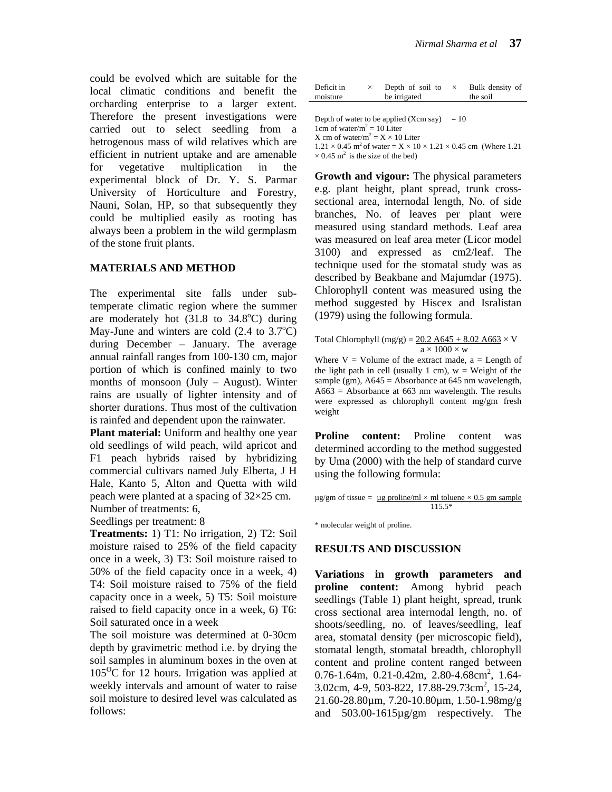could be evolved which are suitable for the local climatic conditions and benefit the orcharding enterprise to a larger extent. Therefore the present investigations were carried out to select seedling from a hetrogenous mass of wild relatives which are efficient in nutrient uptake and are amenable for vegetative multiplication in the experimental block of Dr. Y. S. Parmar University of Horticulture and Forestry, Nauni, Solan, HP, so that subsequently they could be multiplied easily as rooting has always been a problem in the wild germplasm of the stone fruit plants.

#### **MATERIALS AND METHOD**

The experimental site falls under subtemperate climatic region where the summer are moderately hot  $(31.8 \text{ to } 34.8^{\circ}\text{C})$  during May-June and winters are cold  $(2.4 \text{ to } 3.7^{\circ}\text{C})$ during December – January. The average annual rainfall ranges from 100-130 cm, major portion of which is confined mainly to two months of monsoon (July – August). Winter rains are usually of lighter intensity and of shorter durations. Thus most of the cultivation is rainfed and dependent upon the rainwater.

**Plant material:** Uniform and healthy one year old seedlings of wild peach, wild apricot and F1 peach hybrids raised by hybridizing commercial cultivars named July Elberta, J H Hale, Kanto 5, Alton and Quetta with wild peach were planted at a spacing of 32×25 cm. Number of treatments: 6,

Seedlings per treatment: 8

**Treatments:** 1) T1: No irrigation, 2) T2: Soil moisture raised to 25% of the field capacity once in a week, 3) T3: Soil moisture raised to 50% of the field capacity once in a week, 4) T4: Soil moisture raised to 75% of the field capacity once in a week, 5) T5: Soil moisture raised to field capacity once in a week, 6) T6: Soil saturated once in a week

The soil moisture was determined at 0-30cm depth by gravimetric method i.e. by drying the soil samples in aluminum boxes in the oven at  $105^{\circ}$ C for 12 hours. Irrigation was applied at weekly intervals and amount of water to raise soil moisture to desired level was calculated as follows:

| Deficit in | Depth of soil to | Bulk density of |
|------------|------------------|-----------------|
| moisture   | be irrigated     | the soil        |

Depth of water to be applied  $(Xcm \text{ say}) = 10$ 1cm of water/ $m^2 = 10$  Liter X cm of water/ $m^2 = X \times 10$  Liter  $1.21 \times 0.45$  m<sup>2</sup> of water =  $X \times 10 \times 1.21 \times 0.45$  cm (Where 1.21)  $\times$  0.45 m<sup>2</sup> is the size of the bed)

**Growth and vigour:** The physical parameters e.g. plant height, plant spread, trunk crosssectional area, internodal length, No. of side branches, No. of leaves per plant were measured using standard methods. Leaf area was measured on leaf area meter (Licor model 3100) and expressed as cm2/leaf. The technique used for the stomatal study was as described by Beakbane and Majumdar (1975). Chlorophyll content was measured using the method suggested by Hiscex and Isralistan (1979) using the following formula.

Total Chlorophyll (mg/g) =  $20.2$  A645 + 8.02 A663  $\times$  V

 $a \times 1000 \times w$ <br>Where V = Volume of the extract made, a = Length of the light path in cell (usually 1 cm),  $w = Weight$  of the sample (gm),  $A645 = Absorbance$  at 645 nm wavelength,  $A663$  = Absorbance at 663 nm wavelength. The results were expressed as chlorophyll content mg/gm fresh weight

**Proline content:** Proline content was determined according to the method suggested by Uma (2000) with the help of standard curve using the following formula:

 $\mu$ g/gm of tissue =  $\mu$ g proline/ml × ml toluene × 0.5 gm sample 115.5\*

\* molecular weight of proline.

#### **RESULTS AND DISCUSSION**

**Variations in growth parameters and proline content:** Among hybrid peach seedlings (Table 1) plant height, spread, trunk cross sectional area internodal length, no. of shoots/seedling, no. of leaves/seedling, leaf area, stomatal density (per microscopic field), stomatal length, stomatal breadth, chlorophyll content and proline content ranged between 0.76-1.64m,  $0.21$ -0.42m, 2.80-4.68cm<sup>2</sup>, 1.64-3.02cm, 4-9, 503-822, 17.88-29.73cm<sup>2</sup>, 15-24, 21.60-28.80µm, 7.20-10.80µm, 1.50-1.98mg/g and 503.00-1615µg/gm respectively. The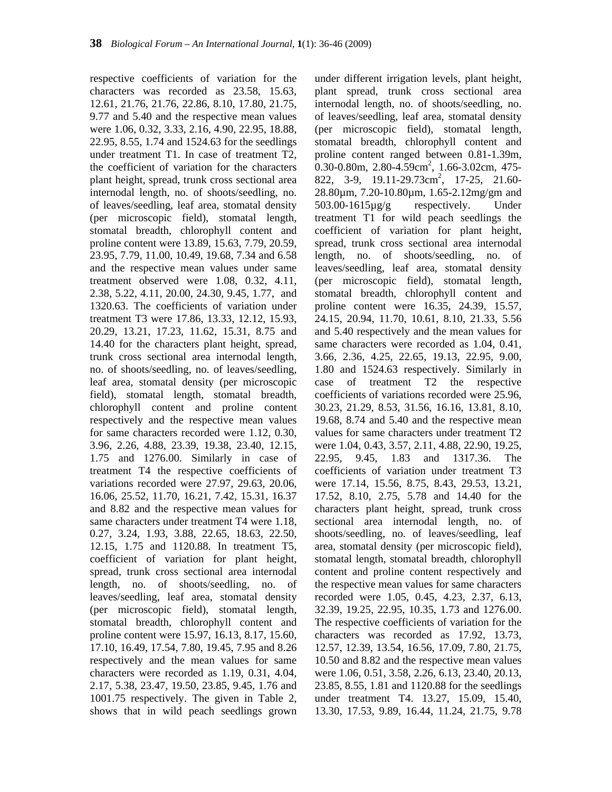respective coefficients of variation for the characters was recorded as 23.58, 15.63, 12.61, 21.76, 21.76, 22.86, 8.10, 17.80, 21.75, 9.77 and 5.40 and the respective mean values were 1.06, 0.32, 3.33, 2.16, 4.90, 22.95, 18.88, 22.95, 8.55, 1.74 and 1524.63 for the seedlings under treatment T1. In case of treatment T2, the coefficient of variation for the characters plant height, spread, trunk cross sectional area internodal length, no. of shoots/seedling, no. of leaves/seedling, leaf area, stomatal density (per microscopic field), stomatal length, stomatal breadth, chlorophyll content and proline content were 13.89, 15.63, 7.79, 20.59, 23.95, 7.79, 11.00, 10.49, 19.68, 7.34 and 6.58 and the respective mean values under same treatment observed were 1.08, 0.32, 4.11, 2.38, 5.22, 4.11, 20.00, 24.30, 9.45, 1.77, and 1320.63. The coefficients of variation under treatment T3 were 17.86, 13.33, 12.12, 15.93, 20.29, 13.21, 17.23, 11.62, 15.31, 8.75 and 14.40 for the characters plant height, spread, trunk cross sectional area internodal length, no. of shoots/seedling, no. of leaves/seedling, leaf area, stomatal density (per microscopic field), stomatal length, stomatal breadth, chlorophyll content and proline content respectively and the respective mean values for same characters recorded were 1.12, 0.30, 3.96, 2.26, 4.88, 23.39, 19.38, 23.40, 12.15, 1.75 and 1276.00. Similarly in case of treatment T4 the respective coefficients of variations recorded were 27.97, 29.63, 20.06, 16.06, 25.52, 11.70, 16.21, 7.42, 15.31, 16.37 and 8.82 and the respective mean values for same characters under treatment T4 were 1.18, 0.27, 3.24, 1.93, 3.88, 22.65, 18.63, 22.50, 12.15, 1.75 and 1120.88. In treatment T5, coefficient of variation for plant height, spread, trunk cross sectional area internodal length, no. of shoots/seedling, no. of leaves/seedling, leaf area, stomatal density (per microscopic field), stomatal length, stomatal breadth, chlorophyll content and proline content were 15.97, 16.13, 8.17, 15.60, 17.10, 16.49, 17.54, 7.80, 19.45, 7.95 and 8.26 respectively and the mean values for same characters were recorded as 1.19, 0.31, 4.04, 2.17, 5.38, 23.47, 19.50, 23.85, 9.45, 1.76 and 1001.75 respectively. The given in Table 2, shows that in wild peach seedlings grown

under different irrigation levels, plant height, plant spread, trunk cross sectional area internodal length, no. of shoots/seedling, no. of leaves/seedling, leaf area, stomatal density (per microscopic field), stomatal length, stomatal breadth, chlorophyll content and proline content ranged between 0.81-1.39m,  $0.30$ -0.80m, 2.80-4.59cm<sup>2</sup>, 1.66-3.02cm, 475-822, 3-9, 19.11-29.73cm<sup>2</sup>, 17-25, 21.60-28.80µm, 7.20-10.80µm, 1.65-2.12mg/gm and 503.00-1615µg/g respectively. Under treatment T1 for wild peach seedlings the coefficient of variation for plant height, spread, trunk cross sectional area internodal length, no. of shoots/seedling, no. of leaves/seedling, leaf area, stomatal density (per microscopic field), stomatal length, stomatal breadth, chlorophyll content and proline content were 16.35, 24.39, 15.57, 24.15, 20.94, 11.70, 10.61, 8.10, 21.33, 5.56 and 5.40 respectively and the mean values for same characters were recorded as 1.04, 0.41, 3.66, 2.36, 4.25, 22.65, 19.13, 22.95, 9.00, 1.80 and 1524.63 respectively. Similarly in case of treatment T2 the respective coefficients of variations recorded were 25.96, 30.23, 21.29, 8.53, 31.56, 16.16, 13.81, 8.10, 19.68, 8.74 and 5.40 and the respective mean values for same characters under treatment T2 were 1.04, 0.43, 3.57, 2.11, 4.88, 22.90, 19.25, 22.95, 9.45, 1.83 and 1317.36. The coefficients of variation under treatment T3 were 17.14, 15.56, 8.75, 8.43, 29.53, 13.21, 17.52, 8.10, 2.75, 5.78 and 14.40 for the characters plant height, spread, trunk cross sectional area internodal length, no. of shoots/seedling, no. of leaves/seedling, leaf area, stomatal density (per microscopic field), stomatal length, stomatal breadth, chlorophyll content and proline content respectively and the respective mean values for same characters recorded were 1.05, 0.45, 4.23, 2.37, 6.13, 32.39, 19.25, 22.95, 10.35, 1.73 and 1276.00. The respective coefficients of variation for the characters was recorded as 17.92, 13.73, 12.57, 12.39, 13.54, 16.56, 17.09, 7.80, 21.75, 10.50 and 8.82 and the respective mean values were 1.06, 0.51, 3.58, 2.26, 6.13, 23.40, 20.13, 23.85, 8.55, 1.81 and 1120.88 for the seedlings under treatment T4. 13.27, 15.09, 15.40, 13.30, 17.53, 9.89, 16.44, 11.24, 21.75, 9.78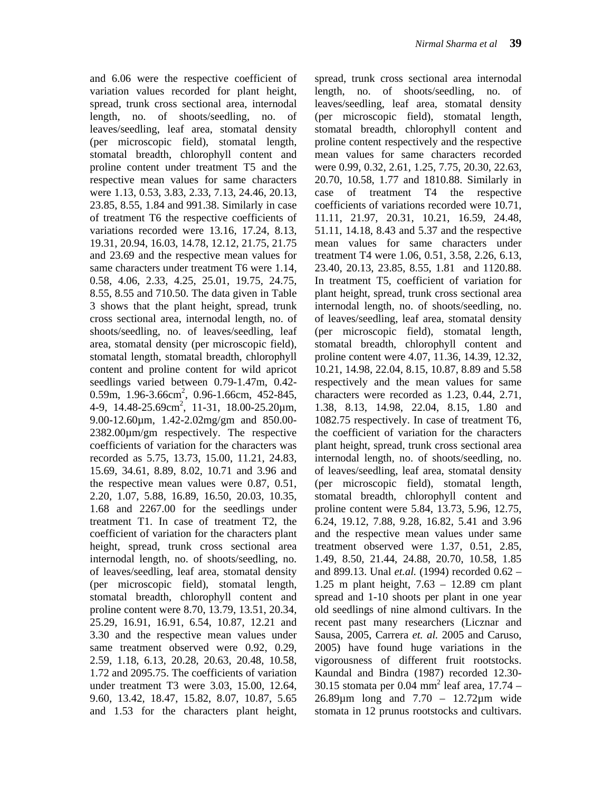and 6.06 were the respective coefficient of variation values recorded for plant height, spread, trunk cross sectional area, internodal length, no. of shoots/seedling, no. of leaves/seedling, leaf area, stomatal density (per microscopic field), stomatal length, stomatal breadth, chlorophyll content and proline content under treatment T5 and the respective mean values for same characters were 1.13, 0.53, 3.83, 2.33, 7.13, 24.46, 20.13, 23.85, 8.55, 1.84 and 991.38. Similarly in case of treatment T6 the respective coefficients of variations recorded were 13.16, 17.24, 8.13, 19.31, 20.94, 16.03, 14.78, 12.12, 21.75, 21.75 and 23.69 and the respective mean values for same characters under treatment T6 were 1.14, 0.58, 4.06, 2.33, 4.25, 25.01, 19.75, 24.75, 8.55, 8.55 and 710.50. The data given in Table 3 shows that the plant height, spread, trunk cross sectional area, internodal length, no. of shoots/seedling, no. of leaves/seedling, leaf area, stomatal density (per microscopic field), stomatal length, stomatal breadth, chlorophyll content and proline content for wild apricot seedlings varied between 0.79-1.47m, 0.42- 0.59m, 1.96-3.66cm<sup>2</sup>, 0.96-1.66cm, 452-845,  $4-9$ ,  $14.48-25.69$ cm<sup>2</sup>,  $11-31$ ,  $18.00-25.20$  $\mu$ m, 9.00-12.60µm, 1.42-2.02mg/gm and 850.00- 2382.00µm/gm respectively. The respective coefficients of variation for the characters was recorded as 5.75, 13.73, 15.00, 11.21, 24.83, 15.69, 34.61, 8.89, 8.02, 10.71 and 3.96 and the respective mean values were 0.87, 0.51, 2.20, 1.07, 5.88, 16.89, 16.50, 20.03, 10.35, 1.68 and 2267.00 for the seedlings under treatment T1. In case of treatment T2, the coefficient of variation for the characters plant height, spread, trunk cross sectional area internodal length, no. of shoots/seedling, no. of leaves/seedling, leaf area, stomatal density (per microscopic field), stomatal length, stomatal breadth, chlorophyll content and proline content were 8.70, 13.79, 13.51, 20.34, 25.29, 16.91, 16.91, 6.54, 10.87, 12.21 and 3.30 and the respective mean values under same treatment observed were 0.92, 0.29, 2.59, 1.18, 6.13, 20.28, 20.63, 20.48, 10.58, 1.72 and 2095.75. The coefficients of variation under treatment T3 were 3.03, 15.00, 12.64, 9.60, 13.42, 18.47, 15.82, 8.07, 10.87, 5.65 and 1.53 for the characters plant height,

spread, trunk cross sectional area internodal length, no. of shoots/seedling, no. of leaves/seedling, leaf area, stomatal density (per microscopic field), stomatal length, stomatal breadth, chlorophyll content and proline content respectively and the respective mean values for same characters recorded were 0.99, 0.32, 2.61, 1.25, 7.75, 20.30, 22.63, 20.70, 10.58, 1.77 and 1810.88. Similarly in case of treatment T4 the respective coefficients of variations recorded were 10.71, 11.11, 21.97, 20.31, 10.21, 16.59, 24.48, 51.11, 14.18, 8.43 and 5.37 and the respective mean values for same characters under treatment T4 were 1.06, 0.51, 3.58, 2.26, 6.13, 23.40, 20.13, 23.85, 8.55, 1.81 and 1120.88. In treatment T5, coefficient of variation for plant height, spread, trunk cross sectional area internodal length, no. of shoots/seedling, no. of leaves/seedling, leaf area, stomatal density (per microscopic field), stomatal length, stomatal breadth, chlorophyll content and proline content were 4.07, 11.36, 14.39, 12.32, 10.21, 14.98, 22.04, 8.15, 10.87, 8.89 and 5.58 respectively and the mean values for same characters were recorded as 1.23, 0.44, 2.71, 1.38, 8.13, 14.98, 22.04, 8.15, 1.80 and 1082.75 respectively. In case of treatment T6, the coefficient of variation for the characters plant height, spread, trunk cross sectional area internodal length, no. of shoots/seedling, no. of leaves/seedling, leaf area, stomatal density (per microscopic field), stomatal length, stomatal breadth, chlorophyll content and proline content were 5.84, 13.73, 5.96, 12.75, 6.24, 19.12, 7.88, 9.28, 16.82, 5.41 and 3.96 and the respective mean values under same treatment observed were 1.37, 0.51, 2.85, 1.49, 8.50, 21.44, 24.88, 20.70, 10.58, 1.85 and 899.13. Unal *et.al.* (1994) recorded 0.62 – 1.25 m plant height, 7.63 – 12.89 cm plant spread and 1-10 shoots per plant in one year old seedlings of nine almond cultivars. In the recent past many researchers (Licznar and Sausa, 2005, Carrera *et. al.* 2005 and Caruso, 2005) have found huge variations in the vigorousness of different fruit rootstocks. Kaundal and Bindra (1987) recorded 12.30- 30.15 stomata per 0.04 mm<sup>2</sup> leaf area,  $17.74 -$ 26.89µm long and 7.70 – 12.72µm wide stomata in 12 prunus rootstocks and cultivars.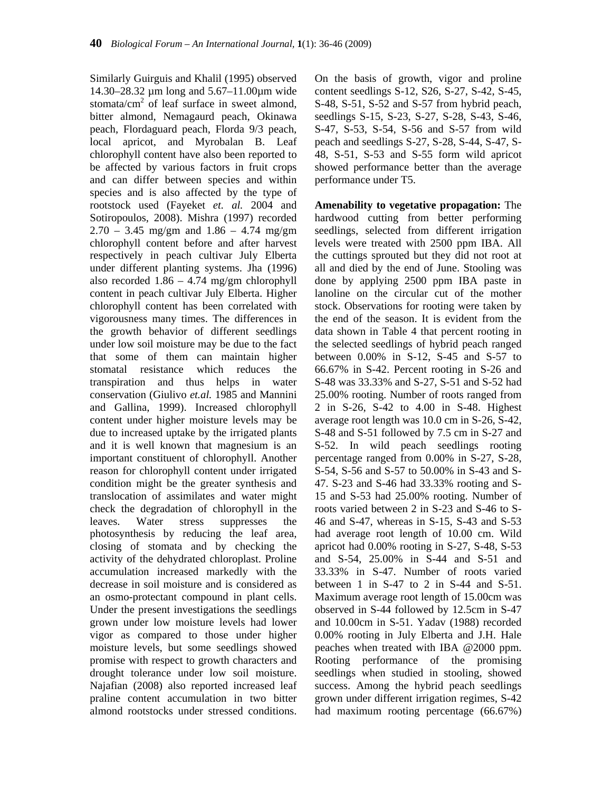Similarly Guirguis and Khalil (1995) observed 14.30–28.32 µm long and 5.67–11.00µm wide stomata/ $cm<sup>2</sup>$  of leaf surface in sweet almond, bitter almond, Nemagaurd peach, Okinawa peach, Flordaguard peach, Florda 9/3 peach, local apricot, and Myrobalan B. Leaf chlorophyll content have also been reported to be affected by various factors in fruit crops and can differ between species and within species and is also affected by the type of rootstock used (Fayeket *et. al.* 2004 and Sotiropoulos, 2008). Mishra (1997) recorded  $2.70 - 3.45$  mg/gm and  $1.86 - 4.74$  mg/gm chlorophyll content before and after harvest respectively in peach cultivar July Elberta under different planting systems. Jha (1996) also recorded  $1.86 - 4.74$  mg/gm chlorophyll content in peach cultivar July Elberta. Higher chlorophyll content has been correlated with vigorousness many times. The differences in the growth behavior of different seedlings under low soil moisture may be due to the fact that some of them can maintain higher stomatal resistance which reduces the transpiration and thus helps in water conservation (Giulivo *et.al.* 1985 and Mannini and Gallina, 1999). Increased chlorophyll content under higher moisture levels may be due to increased uptake by the irrigated plants and it is well known that magnesium is an important constituent of chlorophyll. Another reason for chlorophyll content under irrigated condition might be the greater synthesis and translocation of assimilates and water might check the degradation of chlorophyll in the leaves. Water stress suppresses the photosynthesis by reducing the leaf area, closing of stomata and by checking the activity of the dehydrated chloroplast. Proline accumulation increased markedly with the decrease in soil moisture and is considered as an osmo-protectant compound in plant cells. Under the present investigations the seedlings grown under low moisture levels had lower vigor as compared to those under higher moisture levels, but some seedlings showed promise with respect to growth characters and drought tolerance under low soil moisture. Najafian (2008) also reported increased leaf praline content accumulation in two bitter almond rootstocks under stressed conditions.

On the basis of growth, vigor and proline content seedlings S-12, S26, S-27, S-42, S-45, S-48, S-51, S-52 and S-57 from hybrid peach, seedlings S-15, S-23, S-27, S-28, S-43, S-46, S-47, S-53, S-54, S-56 and S-57 from wild peach and seedlings S-27, S-28, S-44, S-47, S-48, S-51, S-53 and S-55 form wild apricot showed performance better than the average performance under T5.

**Amenability to vegetative propagation:** The hardwood cutting from better performing seedlings, selected from different irrigation levels were treated with 2500 ppm IBA. All the cuttings sprouted but they did not root at all and died by the end of June. Stooling was done by applying 2500 ppm IBA paste in lanoline on the circular cut of the mother stock. Observations for rooting were taken by the end of the season. It is evident from the data shown in Table 4 that percent rooting in the selected seedlings of hybrid peach ranged between 0.00% in S-12, S-45 and S-57 to 66.67% in S-42. Percent rooting in S-26 and S-48 was 33.33% and S-27, S-51 and S-52 had 25.00% rooting. Number of roots ranged from 2 in S-26, S-42 to 4.00 in S-48. Highest average root length was 10.0 cm in S-26, S-42, S-48 and S-51 followed by 7.5 cm in S-27 and S-52. In wild peach seedlings rooting percentage ranged from 0.00% in S-27, S-28, S-54, S-56 and S-57 to 50.00% in S-43 and S-47. S-23 and S-46 had 33.33% rooting and S-15 and S-53 had 25.00% rooting. Number of roots varied between 2 in S-23 and S-46 to S-46 and S-47, whereas in S-15, S-43 and S-53 had average root length of 10.00 cm. Wild apricot had 0.00% rooting in S-27, S-48, S-53 and S-54, 25.00% in S-44 and S-51 and 33.33% in S-47. Number of roots varied between 1 in S-47 to 2 in S-44 and S-51. Maximum average root length of 15.00cm was observed in S-44 followed by 12.5cm in S-47 and 10.00cm in S-51. Yadav (1988) recorded 0.00% rooting in July Elberta and J.H. Hale peaches when treated with IBA @2000 ppm. Rooting performance of the promising seedlings when studied in stooling, showed success. Among the hybrid peach seedlings grown under different irrigation regimes, S-42 had maximum rooting percentage (66.67%)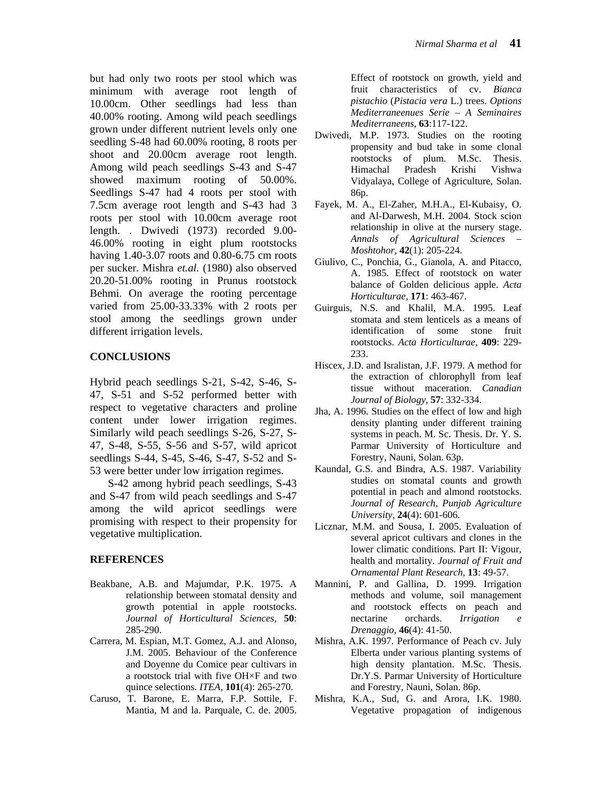but had only two roots per stool which was minimum with average root length of 10.00cm. Other seedlings had less than 40.00% rooting. Among wild peach seedlings grown under different nutrient levels only one seedling S-48 had 60.00% rooting, 8 roots per shoot and 20.00cm average root length. Among wild peach seedlings S-43 and S-47 showed maximum rooting of 50.00%. Seedlings S-47 had 4 roots per stool with 7.5cm average root length and S-43 had 3 roots per stool with 10.00cm average root length. . Dwivedi (1973) recorded 9.00- 46.00% rooting in eight plum rootstocks having 1.40-3.07 roots and 0.80-6.75 cm roots per sucker. Mishra *et.al.* (1980) also observed 20.20-51.00% rooting in Prunus rootstock Behmi. On average the rooting percentage varied from 25.00-33.33% with 2 roots per stool among the seedlings grown under different irrigation levels.

## **CONCLUSIONS**

Hybrid peach seedlings S-21, S-42, S-46, S-47, S-51 and S-52 performed better with respect to vegetative characters and proline content under lower irrigation regimes. Similarly wild peach seedlings S-26, S-27, S-47, S-48, S-55, S-56 and S-57, wild apricot seedlings S-44, S-45, S-46, S-47, S-52 and S-53 were better under low irrigation regimes.

S-42 among hybrid peach seedlings, S-43 and S-47 from wild peach seedlings and S-47 among the wild apricot seedlings were promising with respect to their propensity for vegetative multiplication.

### **REFERENCES**

- Beakbane, A.B. and Majumdar, P.K. 1975. A relationship between stomatal density and growth potential in apple rootstocks. *Journal of Horticultural Sciences,* **50**: 285-290.
- Carrera, M. Espian, M.T. Gomez, A.J. and Alonso, J.M. 2005. Behaviour of the Conference and Doyenne du Comice pear cultivars in a rootstock trial with five OH×F and two quince selections. *ITEA,* **101**(4): 265-270.
- Caruso, T. Barone, E. Marra, F.P. Sottile, F. Mantia, M and la. Parquale, C. de. 2005.

Effect of rootstock on growth, yield and fruit characteristics of cv. *Bianca pistachio* (*Pistacia vera* L.) trees. *Options Mediterraneenues Serie – A Seminaires Mediterraneens,* **63**:117-122.

- Dwivedi, M.P. 1973. Studies on the rooting propensity and bud take in some clonal rootstocks of plum. M.Sc. Thesis.<br>Himachal Pradesh Krishi Vishwa Himachal Pradesh Krishi Vishwa Vidyalaya, College of Agriculture, Solan. 86p.
- Fayek, M. A., El-Zaher, M.H.A., El-Kubaisy, O. and Al-Darwesh, M.H. 2004. Stock scion relationship in olive at the nursery stage. *Annals of Agricultural Sciences – Moshtohor,* **42**(1): 205-224.
- Giulivo, C., Ponchia, G., Gianola, A. and Pitacco, A. 1985. Effect of rootstock on water balance of Golden delicious apple. *Acta Horticulturae,* **171**: 463-467.
- Guirguis, N.S. and Khalil, M.A. 1995. Leaf stomata and stem lenticels as a means of identification of some stone fruit rootstocks. *Acta Horticulturae,* **409**: 229- 233.
- Hiscex, J.D. and Isralistan, J.F. 1979. A method for the extraction of chlorophyll from leaf tissue without maceration. *Canadian Journal of Biology,* **57**: 332-334.
- Jha, A. 1996. Studies on the effect of low and high density planting under different training systems in peach. M. Sc. Thesis. Dr. Y. S. Parmar University of Horticulture and Forestry, Nauni, Solan. 63p.
- Kaundal, G.S. and Bindra, A.S. 1987. Variability studies on stomatal counts and growth potential in peach and almond rootstocks. *Journal of Research, Punjab Agriculture University,* **24**(4): 601-606.
- Licznar, M.M. and Sousa, I. 2005. Evaluation of several apricot cultivars and clones in the lower climatic conditions. Part II: Vigour, health and mortality. *Journal of Fruit and Ornamental Plant Research,* **13**: 49-57.
- Mannini, P. and Gallina, D. 1999. Irrigation methods and volume, soil management and rootstock effects on peach and nectarine orchards. *Irrigation e Drenaggio,* **46**(4): 41-50.
- Mishra, A.K. 1997. Performance of Peach cv. July Elberta under various planting systems of high density plantation. M.Sc. Thesis. Dr.Y.S. Parmar University of Horticulture and Forestry, Nauni, Solan. 86p.
- Mishra, K.A., Sud, G. and Arora, I.K. 1980. Vegetative propagation of indigenous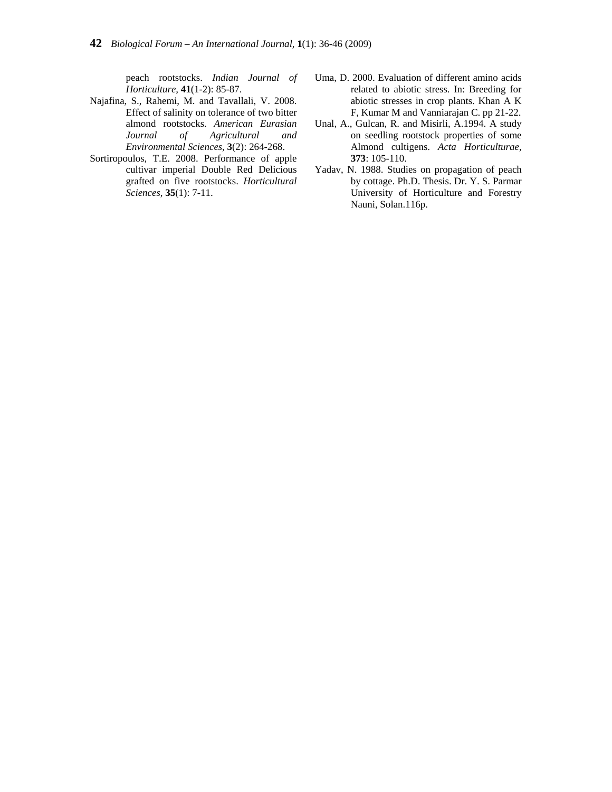peach rootstocks. *Indian Journal of Horticulture,* **41**(1-2): 85-87.

- Najafina, S., Rahemi, M. and Tavallali, V. 2008. Effect of salinity on tolerance of two bitter almond rootstocks. *American Eurasian Journal of Agricultural and Environmental Sciences,* **3**(2): 264-268.
- Sortiropoulos, T.E. 2008. Performance of apple cultivar imperial Double Red Delicious grafted on five rootstocks. *Horticultural Sciences,* **35**(1): 7-11.
- Uma, D. 2000. Evaluation of different amino acids related to abiotic stress. In: Breeding for abiotic stresses in crop plants. Khan A K F, Kumar M and Vanniarajan C. pp 21-22.
- Unal, A., Gulcan, R. and Misirli, A.1994. A study on seedling rootstock properties of some Almond cultigens. *Acta Horticulturae,* **373**: 105-110.
- Yadav, N. 1988. Studies on propagation of peach by cottage. Ph.D. Thesis. Dr. Y. S. Parmar University of Horticulture and Forestry Nauni, Solan.116p.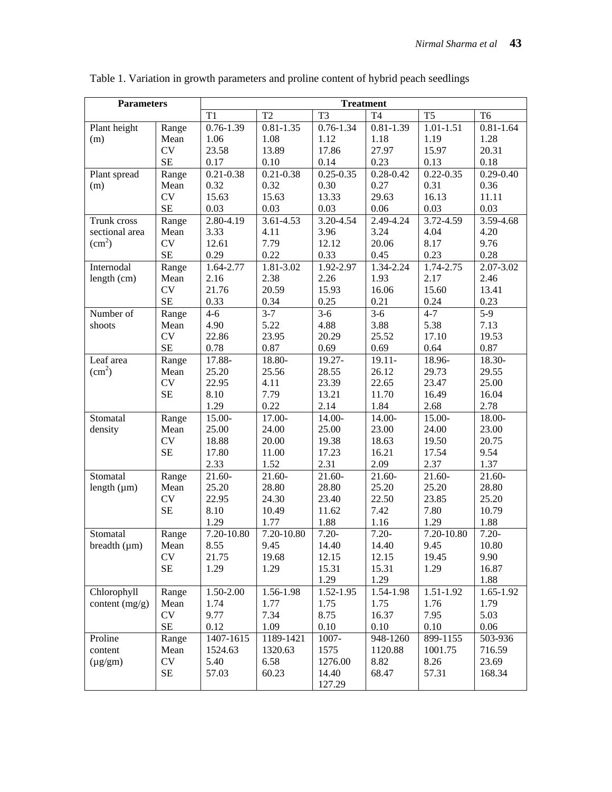| <b>Parameters</b>      |           | <b>Treatment</b> |                |                |                |                |                |  |  |
|------------------------|-----------|------------------|----------------|----------------|----------------|----------------|----------------|--|--|
|                        |           | T1               | T <sub>2</sub> | T <sub>3</sub> | T <sub>4</sub> | T <sub>5</sub> | T <sub>6</sub> |  |  |
| Plant height           | Range     | $0.76 - 1.39$    | $0.81 - 1.35$  | $0.76 - 1.34$  | $0.81 - 1.39$  | $1.01 - 1.51$  | $0.81 - 1.64$  |  |  |
| (m)                    | Mean      | 1.06             | 1.08           | 1.12           | 1.18           | 1.19           | 1.28           |  |  |
|                        | CV        | 23.58            | 13.89          | 17.86          | 27.97          | 15.97          | 20.31          |  |  |
|                        | $\rm SE$  | 0.17             | 0.10           | 0.14           | 0.23           | 0.13           | 0.18           |  |  |
| Plant spread           | Range     | $0.21 - 0.38$    | $0.21 - 0.38$  | $0.25 - 0.35$  | $0.28 - 0.42$  | $0.22 - 0.35$  | $0.29 - 0.40$  |  |  |
| (m)                    | Mean      | 0.32             | 0.32           | 0.30           | 0.27           | 0.31           | 0.36           |  |  |
|                        | <b>CV</b> | 15.63            | 15.63          | 13.33          | 29.63          | 16.13          | 11.11          |  |  |
|                        | <b>SE</b> | 0.03             | 0.03           | 0.03           | 0.06           | 0.03           | 0.03           |  |  |
| Trunk cross            | Range     | 2.80-4.19        | 3.61-4.53      | 3.20-4.54      | 2.49-4.24      | 3.72-4.59      | 3.59-4.68      |  |  |
| sectional area         | Mean      | 3.33             | 4.11           | 3.96           | 3.24           | 4.04           | 4.20           |  |  |
| $\text{(cm}^2\text{)}$ | <b>CV</b> | 12.61            | 7.79           | 12.12          | 20.06          | 8.17           | 9.76           |  |  |
|                        | $\rm SE$  | 0.29             | 0.22           | 0.33           | 0.45           | 0.23           | 0.28           |  |  |
| Internodal             | Range     | 1.64-2.77        | 1.81-3.02      | 1.92-2.97      | 1.34-2.24      | 1.74-2.75      | 2.07-3.02      |  |  |
| length (cm)            | Mean      | 2.16             | 2.38           | 2.26           | 1.93           | 2.17           | 2.46           |  |  |
|                        | CV        | 21.76            | 20.59          | 15.93          | 16.06          | 15.60          | 13.41          |  |  |
|                        | <b>SE</b> | 0.33             | 0.34           | 0.25           | 0.21           | 0.24           | 0.23           |  |  |
| Number of              | Range     | $4 - 6$          | $3 - 7$        | $3-6$          | $3-6$          | $4 - 7$        | $5-9$          |  |  |
| shoots                 | Mean      | 4.90             | 5.22           | 4.88           | 3.88           | 5.38           | 7.13           |  |  |
|                        | <b>CV</b> | 22.86            | 23.95          | 20.29          | 25.52          | 17.10          | 19.53          |  |  |
|                        | $\rm SE$  | 0.78             | 0.87           | 0.69           | 0.69           | 0.64           | 0.87           |  |  |
| Leaf area              | Range     | 17.88-           | 18.80-         | $19.27 -$      | $19.11 -$      | 18.96-         | 18.30-         |  |  |
| $\text{cm}^2$ )        | Mean      | 25.20            | 25.56          | 28.55          | 26.12          | 29.73          | 29.55          |  |  |
|                        | <b>CV</b> | 22.95            | 4.11           | 23.39          | 22.65          | 23.47          | 25.00          |  |  |
|                        | <b>SE</b> | 8.10             | 7.79           | 13.21          | 11.70          | 16.49          | 16.04          |  |  |
|                        |           | 1.29             | 0.22           | 2.14           | 1.84           | 2.68           | 2.78           |  |  |
| Stomatal               | Range     | 15.00-           | 17.00-         | 14.00-         | 14.00-         | 15.00-         | 18.00-         |  |  |
| density                | Mean      | 25.00            | 24.00          | 25.00          | 23.00          | 24.00          | 23.00          |  |  |
|                        | <b>CV</b> | 18.88            | 20.00          | 19.38          | 18.63          | 19.50          | 20.75          |  |  |
|                        | SE        | 17.80            | 11.00          | 17.23          | 16.21          | 17.54          | 9.54           |  |  |
|                        |           | 2.33             | 1.52           | 2.31           | 2.09           | 2.37           | 1.37           |  |  |
| Stomatal               | Range     | 21.60-           | 21.60-         | 21.60-         | $21.60 -$      | 21.60-         | 21.60-         |  |  |
| length $(\mu m)$       | Mean      | 25.20            | 28.80          | 28.80          | 25.20          | 25.20          | 28.80          |  |  |
|                        | <b>CV</b> | 22.95            | 24.30          | 23.40          | 22.50          | 23.85          | 25.20          |  |  |
|                        | SE        | 8.10             | 10.49          | 11.62          | 7.42           | 7.80           | 10.79          |  |  |
|                        |           | 1.29             | 1.77           | 1.88           | 1.16           | 1.29           | 1.88           |  |  |
| Stomatal               | Range     | 7.20-10.80       | 7.20-10.80     | $7.20 -$       | $7.20 -$       | 7.20-10.80     | $7.20 -$       |  |  |
| breadth $(\mu m)$      | Mean      | 8.55             | 9.45           | 14.40          | 14.40          | 9.45           | 10.80          |  |  |
|                        | CV        | 21.75            | 19.68          | 12.15          | 12.15          | 19.45          | 9.90           |  |  |
|                        | <b>SE</b> | 1.29             | 1.29           | 15.31          | 15.31          | 1.29           | 16.87          |  |  |
|                        |           |                  |                | 1.29           | 1.29           |                | 1.88           |  |  |
| Chlorophyll            | Range     | 1.50-2.00        | 1.56-1.98      | $1.52 - 1.95$  | 1.54-1.98      | 1.51-1.92      | 1.65-1.92      |  |  |
| content $(mg/g)$       | Mean      | 1.74             | 1.77           | 1.75           | 1.75           | 1.76           | 1.79           |  |  |
|                        | <b>CV</b> | 9.77             | 7.34           | 8.75           | 16.37          | 7.95           | 5.03           |  |  |
|                        | $\rm SE$  | 0.12             | 1.09           | 0.10           | 0.10           | 0.10           | 0.06           |  |  |
| Proline                | Range     | 1407-1615        | 1189-1421      | 1007-          | 948-1260       | 899-1155       | 503-936        |  |  |
| content                | Mean      | 1524.63          | 1320.63        | 1575           | 1120.88        | 1001.75        | 716.59         |  |  |
| $(\mu g/gm)$           | CV        | 5.40             | 6.58           | 1276.00        | 8.82           | 8.26           | 23.69          |  |  |
|                        | $\rm SE$  | 57.03            | 60.23          | 14.40          | 68.47          | 57.31          | 168.34         |  |  |
|                        |           |                  |                | 127.29         |                |                |                |  |  |

Table 1. Variation in growth parameters and proline content of hybrid peach seedlings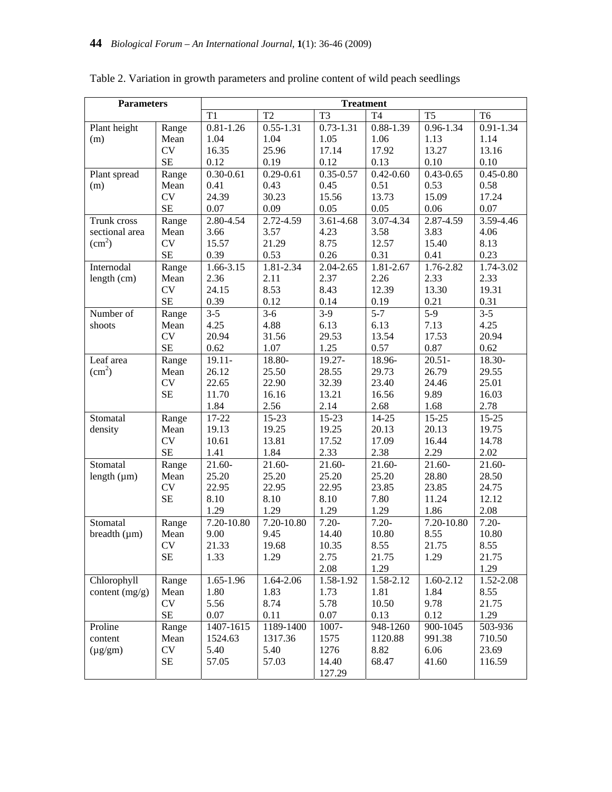| <b>Parameters</b>  |           | <b>Treatment</b> |               |                |                |                |                |  |  |
|--------------------|-----------|------------------|---------------|----------------|----------------|----------------|----------------|--|--|
|                    |           | T <sub>1</sub>   | T2            | T <sub>3</sub> | T <sub>4</sub> | T <sub>5</sub> | T <sub>6</sub> |  |  |
| Plant height       | Range     | $0.81 - 1.26$    | $0.55 - 1.31$ | $0.73 - 1.31$  | $0.88 - 1.39$  | $0.96 - 1.34$  | $0.91 - 1.34$  |  |  |
| (m)                | Mean      | 1.04             | 1.04          | 1.05           | 1.06           | 1.13           | 1.14           |  |  |
|                    | <b>CV</b> | 16.35            | 25.96         | 17.14          | 17.92          | 13.27          | 13.16          |  |  |
|                    | $\rm SE$  | 0.12             | 0.19          | 0.12           | 0.13           | 0.10           | 0.10           |  |  |
| Plant spread       | Range     | $0.30 - 0.61$    | $0.29 - 0.61$ | $0.35 - 0.57$  | $0.42 - 0.60$  | $0.43 - 0.65$  | $0.45 - 0.80$  |  |  |
| (m)                | Mean      | 0.41             | 0.43          | 0.45           | 0.51           | 0.53           | 0.58           |  |  |
|                    | <b>CV</b> | 24.39            | 30.23         | 15.56          | 13.73          | 15.09          | 17.24          |  |  |
|                    | $\rm SE$  | 0.07             | 0.09          | 0.05           | 0.05           | 0.06           | 0.07           |  |  |
| Trunk cross        | Range     | 2.80-4.54        | 2.72-4.59     | 3.61-4.68      | 3.07-4.34      | 2.87-4.59      | 3.59-4.46      |  |  |
| sectional area     | Mean      | 3.66             | 3.57          | 4.23           | 3.58           | 3.83           | 4.06           |  |  |
| (cm <sup>2</sup> ) | <b>CV</b> | 15.57            | 21.29         | 8.75           | 12.57          | 15.40          | 8.13           |  |  |
|                    | $\rm SE$  | 0.39             | 0.53          | 0.26           | 0.31           | 0.41           | 0.23           |  |  |
| Internodal         | Range     | 1.66-3.15        | 1.81-2.34     | 2.04-2.65      | 1.81-2.67      | 1.76-2.82      | 1.74-3.02      |  |  |
| length (cm)        | Mean      | 2.36             | 2.11          | 2.37           | 2.26           | 2.33           | 2.33           |  |  |
|                    | <b>CV</b> | 24.15            | 8.53          | 8.43           | 12.39          | 13.30          | 19.31          |  |  |
|                    | $\rm SE$  | 0.39             | 0.12          | 0.14           | 0.19           | 0.21           | 0.31           |  |  |
| Number of          | Range     | $3 - 5$          | $3-6$         | $3-9$          | $5 - 7$        | $5-9$          | $3 - 5$        |  |  |
| shoots             | Mean      | 4.25             | 4.88          | 6.13           | 6.13           | 7.13           | 4.25           |  |  |
|                    | <b>CV</b> | 20.94            | 31.56         | 29.53          | 13.54          | 17.53          | 20.94          |  |  |
|                    | $\rm SE$  | 0.62             | 1.07          | 1.25           | 0.57           | 0.87           | 0.62           |  |  |
| Leaf area          | Range     | $19.11 -$        | 18.80-        | 19.27-         | 18.96-         | $20.51 -$      | 18.30-         |  |  |
| (cm <sup>2</sup> ) | Mean      | 26.12            | 25.50         | 28.55          | 29.73          | 26.79          | 29.55          |  |  |
|                    | CV        | 22.65            | 22.90         | 32.39          | 23.40          | 24.46          | 25.01          |  |  |
|                    | <b>SE</b> | 11.70            | 16.16         | 13.21          | 16.56          | 9.89           | 16.03          |  |  |
|                    |           | 1.84             | 2.56          | 2.14           | 2.68           | 1.68           | 2.78           |  |  |
| Stomatal           | Range     | 17-22            | $15 - 23$     | $15-23$        | $14 - 25$      | $15 - 25$      | $15 - 25$      |  |  |
| density            | Mean      | 19.13            | 19.25         | 19.25          | 20.13          | 20.13          | 19.75          |  |  |
|                    | <b>CV</b> | 10.61            | 13.81         | 17.52          | 17.09          | 16.44          | 14.78          |  |  |
|                    | $\rm SE$  | 1.41             | 1.84          | 2.33           | 2.38           | 2.29           | 2.02           |  |  |
| Stomatal           | Range     | 21.60-           | 21.60-        | 21.60-         | 21.60-         | 21.60-         | 21.60-         |  |  |
| length $(\mu m)$   | Mean      | 25.20            | 25.20         | 25.20          | 25.20          | 28.80          | 28.50          |  |  |
|                    | CV        | 22.95            | 22.95         | 22.95          | 23.85          | 23.85          | 24.75          |  |  |
|                    | <b>SE</b> | 8.10             | 8.10          | 8.10           | 7.80           | 11.24          | 12.12          |  |  |
|                    |           | 1.29             | 1.29          | 1.29           | 1.29           | 1.86           | 2.08           |  |  |
| Stomatal           | Range     | 7.20-10.80       | 7.20-10.80    | $7.20 -$       | $7.20 -$       | 7.20-10.80     | $7.20 -$       |  |  |
| breadth $(\mu m)$  | Mean      | 9.00             | 9.45          | 14.40          | 10.80          | 8.55           | 10.80          |  |  |
|                    | CV        | 21.33            | 19.68         | 10.35          | 8.55           | 21.75          | 8.55           |  |  |
|                    | <b>SE</b> | 1.33             | 1.29          | 2.75           | 21.75          | 1.29           | 21.75          |  |  |
|                    |           |                  |               | 2.08           | 1.29           |                | 1.29           |  |  |
| Chlorophyll        | Range     | 1.65-1.96        | 1.64-2.06     | 1.58-1.92      | 1.58-2.12      | 1.60-2.12      | 1.52-2.08      |  |  |
| content $(mg/g)$   | Mean      | 1.80             | 1.83          | 1.73           | 1.81           | 1.84           | 8.55           |  |  |
|                    | <b>CV</b> | 5.56             | 8.74          | 5.78           | 10.50          | 9.78           | 21.75          |  |  |
|                    | $\rm SE$  | 0.07             | 0.11          | 0.07           | 0.13           | 0.12           | 1.29           |  |  |
| Proline            | Range     | 1407-1615        | 1189-1400     | 1007-          | 948-1260       | 900-1045       | 503-936        |  |  |
| content            | Mean      | 1524.63          | 1317.36       | 1575           | 1120.88        | 991.38         | 710.50         |  |  |
| $(\mu g/gm)$       | <b>CV</b> | 5.40             | 5.40          | 1276           | 8.82           | 6.06           | 23.69          |  |  |
|                    | SE        | 57.05            | 57.03         | 14.40          | 68.47          | 41.60          | 116.59         |  |  |
|                    |           |                  |               | 127.29         |                |                |                |  |  |

Table 2. Variation in growth parameters and proline content of wild peach seedlings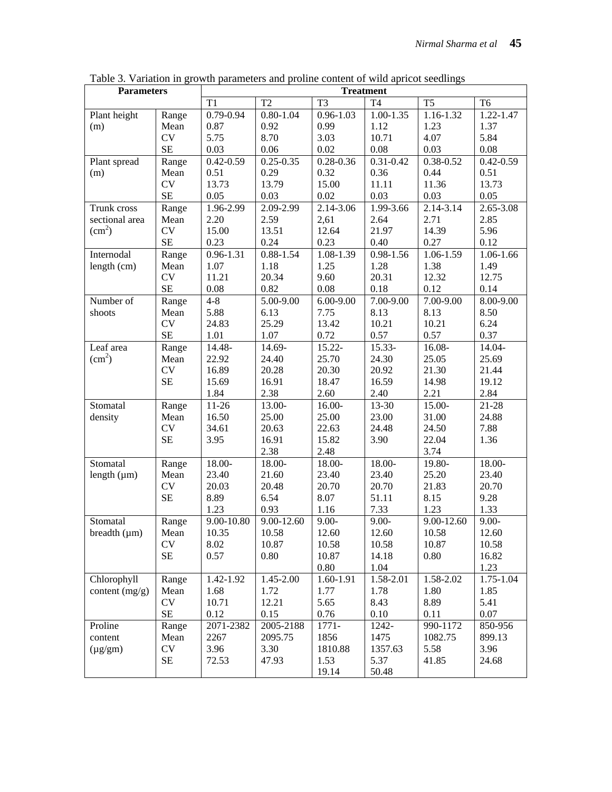| T <sub>2</sub><br>T <sub>3</sub><br><b>T4</b><br>T <sub>5</sub><br>T <sub>1</sub><br>T <sub>6</sub><br>0.79-0.94<br>1.16-1.32<br>Plant height<br>$0.80 - 1.04$<br>$0.96 - 1.03$<br>$1.00 - 1.35$<br>1.22-1.47<br>Range<br>0.87<br>0.92<br>1.12<br>1.37<br>0.99<br>1.23<br>(m)<br>Mean<br><b>CV</b><br>5.75<br>8.70<br>3.03<br>4.07<br>5.84<br>10.71<br><b>SE</b><br>0.03<br>0.06<br>0.02<br>0.08<br>0.08<br>0.03<br>$0.31 - 0.42$<br>$0.42 - 0.59$<br>$0.42 - 0.59$<br>$0.25 - 0.35$<br>$0.28 - 0.36$<br>0.38-0.52<br>Plant spread<br>Range<br>0.29<br>0.32<br>0.51<br>0.36<br>0.44<br>0.51<br>(m)<br>Mean<br><b>CV</b><br>13.79<br>13.73<br>15.00<br>11.11<br>11.36<br>13.73<br>SE<br>0.05<br>0.03<br>0.02<br>0.03<br>0.03<br>0.05<br>Trunk cross<br>2.09-2.99<br>2.14-3.06<br>1.99-3.66<br>2.14-3.14<br>2.65-3.08<br>1.96-2.99<br>Range<br>sectional area<br>2.20<br>2.59<br>2,61<br>2.64<br>2.71<br>2.85<br>Mean<br>$\text{(cm}^2\text{)}$<br><b>CV</b><br>15.00<br>13.51<br>12.64<br>21.97<br>14.39<br>5.96<br><b>SE</b><br>0.23<br>0.24<br>0.23<br>0.40<br>0.27<br>0.12<br>Internodal<br>$0.96 - 1.31$<br>$0.88 - 1.54$<br>1.08-1.39<br>0.98-1.56<br>1.06-1.59<br>1.06-1.66<br>Range<br>length (cm)<br>1.07<br>1.18<br>1.25<br>1.28<br>1.38<br>1.49<br>Mean<br>CV<br>12.32<br>11.21<br>20.34<br>9.60<br>20.31<br>12.75<br><b>SE</b><br>0.82<br>0.08<br>0.08<br>0.18<br>0.12<br>0.14<br>Number of<br>$4 - 8$<br>8.00-9.00<br>5.00-9.00<br>$6.00 - 9.00$<br>7.00-9.00<br>7.00-9.00<br>Range<br>5.88<br>6.13<br>7.75<br>8.13<br>8.13<br>8.50<br>shoots<br>Mean<br><b>CV</b><br>25.29<br>13.42<br>10.21<br>10.21<br>6.24<br>24.83<br><b>SE</b><br>1.07<br>0.72<br>0.57<br>0.37<br>1.01<br>0.57<br>Leaf area<br>14.48-<br>14.69-<br>15.22-<br>15.33-<br>16.08-<br>14.04-<br>Range<br>(cm <sup>2</sup> )<br>25.70<br>22.92<br>24.40<br>24.30<br>25.05<br>25.69<br>Mean<br><b>CV</b><br>16.89<br>20.28<br>20.30<br>20.92<br>21.30<br>21.44<br><b>SE</b><br>15.69<br>16.91<br>18.47<br>16.59<br>14.98<br>19.12<br>1.84<br>2.38<br>2.60<br>2.40<br>2.21<br>2.84<br>$11-26$<br>13-30<br>Stomatal<br>13.00-<br>16.00-<br>15.00-<br>$21 - 28$<br>Range<br>16.50<br>density<br>Mean<br>25.00<br>25.00<br>23.00<br>31.00<br>24.88<br><b>CV</b><br>7.88<br>34.61<br>20.63<br>22.63<br>24.48<br>24.50<br><b>SE</b><br>3.95<br>16.91<br>15.82<br>3.90<br>22.04<br>1.36<br>2.38<br>2.48<br>3.74<br>Stomatal<br>18.00-<br>18.00-<br>18.00-<br>18.00-<br>19.80-<br>18.00-<br>Range<br>Mean<br>23.40<br>21.60<br>23.40<br>23.40<br>25.20<br>23.40<br>length $(\mu m)$<br><b>CV</b><br>20.70<br>20.70<br>20.03<br>20.48<br>21.83<br>20.70<br><b>SE</b><br>8.89<br>6.54<br>51.11<br>8.07<br>8.15<br>9.28<br>1.23<br>0.93<br>7.33<br>1.16<br>1.23<br>1.33<br>9.00-10.80<br>9.00-12.60<br>$9.00 -$<br>9.00-12.60<br>$9.00 -$<br>$9.00 -$<br>Stomatal<br>Range<br>10.35<br>10.58<br>12.60<br>12.60<br>10.58<br>12.60<br>breadth $(\mu m)$<br>Mean<br><b>CV</b><br>8.02<br>10.87<br>10.58<br>10.58<br>10.87<br>10.58<br><b>SE</b><br>0.57<br>0.80<br>10.87<br>0.80<br>16.82<br>14.18<br>$0.80\,$<br>1.04<br>1.23<br>Chlorophyll<br>1.45-2.00<br>1.60-1.91<br>1.58-2.01<br>1.58-2.02<br>1.75-1.04<br>Range<br>1.42-1.92<br>content $(mg/g)$<br>1.68<br>1.72<br>1.77<br>1.78<br>1.80<br>1.85<br>Mean<br><b>CV</b><br>8.43<br>10.71<br>12.21<br>5.65<br>8.89<br>5.41<br>$\rm SE$<br>0.12<br>0.15<br>0.76<br>0.10<br>0.11<br>0.07 | <b>Parameters</b> |  | <b>Treatment</b> |           |       |       |          |         |  |  |
|---------------------------------------------------------------------------------------------------------------------------------------------------------------------------------------------------------------------------------------------------------------------------------------------------------------------------------------------------------------------------------------------------------------------------------------------------------------------------------------------------------------------------------------------------------------------------------------------------------------------------------------------------------------------------------------------------------------------------------------------------------------------------------------------------------------------------------------------------------------------------------------------------------------------------------------------------------------------------------------------------------------------------------------------------------------------------------------------------------------------------------------------------------------------------------------------------------------------------------------------------------------------------------------------------------------------------------------------------------------------------------------------------------------------------------------------------------------------------------------------------------------------------------------------------------------------------------------------------------------------------------------------------------------------------------------------------------------------------------------------------------------------------------------------------------------------------------------------------------------------------------------------------------------------------------------------------------------------------------------------------------------------------------------------------------------------------------------------------------------------------------------------------------------------------------------------------------------------------------------------------------------------------------------------------------------------------------------------------------------------------------------------------------------------------------------------------------------------------------------------------------------------------------------------------------------------------------------------------------------------------------------------------------------------------------------------------------------------------------------------------------------------------------------------------------------------------------------------------------------------------------------------------------------------------------------------------------------------------------------------------------------------------------------------------------------------------------------------------------------------------------------------------------------------------------------------------------------------------------------------------------------------------------------------------------------------------------------------------------------------------------------------------------|-------------------|--|------------------|-----------|-------|-------|----------|---------|--|--|
|                                                                                                                                                                                                                                                                                                                                                                                                                                                                                                                                                                                                                                                                                                                                                                                                                                                                                                                                                                                                                                                                                                                                                                                                                                                                                                                                                                                                                                                                                                                                                                                                                                                                                                                                                                                                                                                                                                                                                                                                                                                                                                                                                                                                                                                                                                                                                                                                                                                                                                                                                                                                                                                                                                                                                                                                                                                                                                                                                                                                                                                                                                                                                                                                                                                                                                                                                                                                         |                   |  |                  |           |       |       |          |         |  |  |
|                                                                                                                                                                                                                                                                                                                                                                                                                                                                                                                                                                                                                                                                                                                                                                                                                                                                                                                                                                                                                                                                                                                                                                                                                                                                                                                                                                                                                                                                                                                                                                                                                                                                                                                                                                                                                                                                                                                                                                                                                                                                                                                                                                                                                                                                                                                                                                                                                                                                                                                                                                                                                                                                                                                                                                                                                                                                                                                                                                                                                                                                                                                                                                                                                                                                                                                                                                                                         |                   |  |                  |           |       |       |          |         |  |  |
|                                                                                                                                                                                                                                                                                                                                                                                                                                                                                                                                                                                                                                                                                                                                                                                                                                                                                                                                                                                                                                                                                                                                                                                                                                                                                                                                                                                                                                                                                                                                                                                                                                                                                                                                                                                                                                                                                                                                                                                                                                                                                                                                                                                                                                                                                                                                                                                                                                                                                                                                                                                                                                                                                                                                                                                                                                                                                                                                                                                                                                                                                                                                                                                                                                                                                                                                                                                                         |                   |  |                  |           |       |       |          |         |  |  |
|                                                                                                                                                                                                                                                                                                                                                                                                                                                                                                                                                                                                                                                                                                                                                                                                                                                                                                                                                                                                                                                                                                                                                                                                                                                                                                                                                                                                                                                                                                                                                                                                                                                                                                                                                                                                                                                                                                                                                                                                                                                                                                                                                                                                                                                                                                                                                                                                                                                                                                                                                                                                                                                                                                                                                                                                                                                                                                                                                                                                                                                                                                                                                                                                                                                                                                                                                                                                         |                   |  |                  |           |       |       |          |         |  |  |
|                                                                                                                                                                                                                                                                                                                                                                                                                                                                                                                                                                                                                                                                                                                                                                                                                                                                                                                                                                                                                                                                                                                                                                                                                                                                                                                                                                                                                                                                                                                                                                                                                                                                                                                                                                                                                                                                                                                                                                                                                                                                                                                                                                                                                                                                                                                                                                                                                                                                                                                                                                                                                                                                                                                                                                                                                                                                                                                                                                                                                                                                                                                                                                                                                                                                                                                                                                                                         |                   |  |                  |           |       |       |          |         |  |  |
|                                                                                                                                                                                                                                                                                                                                                                                                                                                                                                                                                                                                                                                                                                                                                                                                                                                                                                                                                                                                                                                                                                                                                                                                                                                                                                                                                                                                                                                                                                                                                                                                                                                                                                                                                                                                                                                                                                                                                                                                                                                                                                                                                                                                                                                                                                                                                                                                                                                                                                                                                                                                                                                                                                                                                                                                                                                                                                                                                                                                                                                                                                                                                                                                                                                                                                                                                                                                         |                   |  |                  |           |       |       |          |         |  |  |
|                                                                                                                                                                                                                                                                                                                                                                                                                                                                                                                                                                                                                                                                                                                                                                                                                                                                                                                                                                                                                                                                                                                                                                                                                                                                                                                                                                                                                                                                                                                                                                                                                                                                                                                                                                                                                                                                                                                                                                                                                                                                                                                                                                                                                                                                                                                                                                                                                                                                                                                                                                                                                                                                                                                                                                                                                                                                                                                                                                                                                                                                                                                                                                                                                                                                                                                                                                                                         |                   |  |                  |           |       |       |          |         |  |  |
|                                                                                                                                                                                                                                                                                                                                                                                                                                                                                                                                                                                                                                                                                                                                                                                                                                                                                                                                                                                                                                                                                                                                                                                                                                                                                                                                                                                                                                                                                                                                                                                                                                                                                                                                                                                                                                                                                                                                                                                                                                                                                                                                                                                                                                                                                                                                                                                                                                                                                                                                                                                                                                                                                                                                                                                                                                                                                                                                                                                                                                                                                                                                                                                                                                                                                                                                                                                                         |                   |  |                  |           |       |       |          |         |  |  |
|                                                                                                                                                                                                                                                                                                                                                                                                                                                                                                                                                                                                                                                                                                                                                                                                                                                                                                                                                                                                                                                                                                                                                                                                                                                                                                                                                                                                                                                                                                                                                                                                                                                                                                                                                                                                                                                                                                                                                                                                                                                                                                                                                                                                                                                                                                                                                                                                                                                                                                                                                                                                                                                                                                                                                                                                                                                                                                                                                                                                                                                                                                                                                                                                                                                                                                                                                                                                         |                   |  |                  |           |       |       |          |         |  |  |
|                                                                                                                                                                                                                                                                                                                                                                                                                                                                                                                                                                                                                                                                                                                                                                                                                                                                                                                                                                                                                                                                                                                                                                                                                                                                                                                                                                                                                                                                                                                                                                                                                                                                                                                                                                                                                                                                                                                                                                                                                                                                                                                                                                                                                                                                                                                                                                                                                                                                                                                                                                                                                                                                                                                                                                                                                                                                                                                                                                                                                                                                                                                                                                                                                                                                                                                                                                                                         |                   |  |                  |           |       |       |          |         |  |  |
|                                                                                                                                                                                                                                                                                                                                                                                                                                                                                                                                                                                                                                                                                                                                                                                                                                                                                                                                                                                                                                                                                                                                                                                                                                                                                                                                                                                                                                                                                                                                                                                                                                                                                                                                                                                                                                                                                                                                                                                                                                                                                                                                                                                                                                                                                                                                                                                                                                                                                                                                                                                                                                                                                                                                                                                                                                                                                                                                                                                                                                                                                                                                                                                                                                                                                                                                                                                                         |                   |  |                  |           |       |       |          |         |  |  |
|                                                                                                                                                                                                                                                                                                                                                                                                                                                                                                                                                                                                                                                                                                                                                                                                                                                                                                                                                                                                                                                                                                                                                                                                                                                                                                                                                                                                                                                                                                                                                                                                                                                                                                                                                                                                                                                                                                                                                                                                                                                                                                                                                                                                                                                                                                                                                                                                                                                                                                                                                                                                                                                                                                                                                                                                                                                                                                                                                                                                                                                                                                                                                                                                                                                                                                                                                                                                         |                   |  |                  |           |       |       |          |         |  |  |
|                                                                                                                                                                                                                                                                                                                                                                                                                                                                                                                                                                                                                                                                                                                                                                                                                                                                                                                                                                                                                                                                                                                                                                                                                                                                                                                                                                                                                                                                                                                                                                                                                                                                                                                                                                                                                                                                                                                                                                                                                                                                                                                                                                                                                                                                                                                                                                                                                                                                                                                                                                                                                                                                                                                                                                                                                                                                                                                                                                                                                                                                                                                                                                                                                                                                                                                                                                                                         |                   |  |                  |           |       |       |          |         |  |  |
|                                                                                                                                                                                                                                                                                                                                                                                                                                                                                                                                                                                                                                                                                                                                                                                                                                                                                                                                                                                                                                                                                                                                                                                                                                                                                                                                                                                                                                                                                                                                                                                                                                                                                                                                                                                                                                                                                                                                                                                                                                                                                                                                                                                                                                                                                                                                                                                                                                                                                                                                                                                                                                                                                                                                                                                                                                                                                                                                                                                                                                                                                                                                                                                                                                                                                                                                                                                                         |                   |  |                  |           |       |       |          |         |  |  |
|                                                                                                                                                                                                                                                                                                                                                                                                                                                                                                                                                                                                                                                                                                                                                                                                                                                                                                                                                                                                                                                                                                                                                                                                                                                                                                                                                                                                                                                                                                                                                                                                                                                                                                                                                                                                                                                                                                                                                                                                                                                                                                                                                                                                                                                                                                                                                                                                                                                                                                                                                                                                                                                                                                                                                                                                                                                                                                                                                                                                                                                                                                                                                                                                                                                                                                                                                                                                         |                   |  |                  |           |       |       |          |         |  |  |
|                                                                                                                                                                                                                                                                                                                                                                                                                                                                                                                                                                                                                                                                                                                                                                                                                                                                                                                                                                                                                                                                                                                                                                                                                                                                                                                                                                                                                                                                                                                                                                                                                                                                                                                                                                                                                                                                                                                                                                                                                                                                                                                                                                                                                                                                                                                                                                                                                                                                                                                                                                                                                                                                                                                                                                                                                                                                                                                                                                                                                                                                                                                                                                                                                                                                                                                                                                                                         |                   |  |                  |           |       |       |          |         |  |  |
|                                                                                                                                                                                                                                                                                                                                                                                                                                                                                                                                                                                                                                                                                                                                                                                                                                                                                                                                                                                                                                                                                                                                                                                                                                                                                                                                                                                                                                                                                                                                                                                                                                                                                                                                                                                                                                                                                                                                                                                                                                                                                                                                                                                                                                                                                                                                                                                                                                                                                                                                                                                                                                                                                                                                                                                                                                                                                                                                                                                                                                                                                                                                                                                                                                                                                                                                                                                                         |                   |  |                  |           |       |       |          |         |  |  |
|                                                                                                                                                                                                                                                                                                                                                                                                                                                                                                                                                                                                                                                                                                                                                                                                                                                                                                                                                                                                                                                                                                                                                                                                                                                                                                                                                                                                                                                                                                                                                                                                                                                                                                                                                                                                                                                                                                                                                                                                                                                                                                                                                                                                                                                                                                                                                                                                                                                                                                                                                                                                                                                                                                                                                                                                                                                                                                                                                                                                                                                                                                                                                                                                                                                                                                                                                                                                         |                   |  |                  |           |       |       |          |         |  |  |
|                                                                                                                                                                                                                                                                                                                                                                                                                                                                                                                                                                                                                                                                                                                                                                                                                                                                                                                                                                                                                                                                                                                                                                                                                                                                                                                                                                                                                                                                                                                                                                                                                                                                                                                                                                                                                                                                                                                                                                                                                                                                                                                                                                                                                                                                                                                                                                                                                                                                                                                                                                                                                                                                                                                                                                                                                                                                                                                                                                                                                                                                                                                                                                                                                                                                                                                                                                                                         |                   |  |                  |           |       |       |          |         |  |  |
|                                                                                                                                                                                                                                                                                                                                                                                                                                                                                                                                                                                                                                                                                                                                                                                                                                                                                                                                                                                                                                                                                                                                                                                                                                                                                                                                                                                                                                                                                                                                                                                                                                                                                                                                                                                                                                                                                                                                                                                                                                                                                                                                                                                                                                                                                                                                                                                                                                                                                                                                                                                                                                                                                                                                                                                                                                                                                                                                                                                                                                                                                                                                                                                                                                                                                                                                                                                                         |                   |  |                  |           |       |       |          |         |  |  |
|                                                                                                                                                                                                                                                                                                                                                                                                                                                                                                                                                                                                                                                                                                                                                                                                                                                                                                                                                                                                                                                                                                                                                                                                                                                                                                                                                                                                                                                                                                                                                                                                                                                                                                                                                                                                                                                                                                                                                                                                                                                                                                                                                                                                                                                                                                                                                                                                                                                                                                                                                                                                                                                                                                                                                                                                                                                                                                                                                                                                                                                                                                                                                                                                                                                                                                                                                                                                         |                   |  |                  |           |       |       |          |         |  |  |
|                                                                                                                                                                                                                                                                                                                                                                                                                                                                                                                                                                                                                                                                                                                                                                                                                                                                                                                                                                                                                                                                                                                                                                                                                                                                                                                                                                                                                                                                                                                                                                                                                                                                                                                                                                                                                                                                                                                                                                                                                                                                                                                                                                                                                                                                                                                                                                                                                                                                                                                                                                                                                                                                                                                                                                                                                                                                                                                                                                                                                                                                                                                                                                                                                                                                                                                                                                                                         |                   |  |                  |           |       |       |          |         |  |  |
|                                                                                                                                                                                                                                                                                                                                                                                                                                                                                                                                                                                                                                                                                                                                                                                                                                                                                                                                                                                                                                                                                                                                                                                                                                                                                                                                                                                                                                                                                                                                                                                                                                                                                                                                                                                                                                                                                                                                                                                                                                                                                                                                                                                                                                                                                                                                                                                                                                                                                                                                                                                                                                                                                                                                                                                                                                                                                                                                                                                                                                                                                                                                                                                                                                                                                                                                                                                                         |                   |  |                  |           |       |       |          |         |  |  |
|                                                                                                                                                                                                                                                                                                                                                                                                                                                                                                                                                                                                                                                                                                                                                                                                                                                                                                                                                                                                                                                                                                                                                                                                                                                                                                                                                                                                                                                                                                                                                                                                                                                                                                                                                                                                                                                                                                                                                                                                                                                                                                                                                                                                                                                                                                                                                                                                                                                                                                                                                                                                                                                                                                                                                                                                                                                                                                                                                                                                                                                                                                                                                                                                                                                                                                                                                                                                         |                   |  |                  |           |       |       |          |         |  |  |
|                                                                                                                                                                                                                                                                                                                                                                                                                                                                                                                                                                                                                                                                                                                                                                                                                                                                                                                                                                                                                                                                                                                                                                                                                                                                                                                                                                                                                                                                                                                                                                                                                                                                                                                                                                                                                                                                                                                                                                                                                                                                                                                                                                                                                                                                                                                                                                                                                                                                                                                                                                                                                                                                                                                                                                                                                                                                                                                                                                                                                                                                                                                                                                                                                                                                                                                                                                                                         |                   |  |                  |           |       |       |          |         |  |  |
|                                                                                                                                                                                                                                                                                                                                                                                                                                                                                                                                                                                                                                                                                                                                                                                                                                                                                                                                                                                                                                                                                                                                                                                                                                                                                                                                                                                                                                                                                                                                                                                                                                                                                                                                                                                                                                                                                                                                                                                                                                                                                                                                                                                                                                                                                                                                                                                                                                                                                                                                                                                                                                                                                                                                                                                                                                                                                                                                                                                                                                                                                                                                                                                                                                                                                                                                                                                                         |                   |  |                  |           |       |       |          |         |  |  |
|                                                                                                                                                                                                                                                                                                                                                                                                                                                                                                                                                                                                                                                                                                                                                                                                                                                                                                                                                                                                                                                                                                                                                                                                                                                                                                                                                                                                                                                                                                                                                                                                                                                                                                                                                                                                                                                                                                                                                                                                                                                                                                                                                                                                                                                                                                                                                                                                                                                                                                                                                                                                                                                                                                                                                                                                                                                                                                                                                                                                                                                                                                                                                                                                                                                                                                                                                                                                         |                   |  |                  |           |       |       |          |         |  |  |
|                                                                                                                                                                                                                                                                                                                                                                                                                                                                                                                                                                                                                                                                                                                                                                                                                                                                                                                                                                                                                                                                                                                                                                                                                                                                                                                                                                                                                                                                                                                                                                                                                                                                                                                                                                                                                                                                                                                                                                                                                                                                                                                                                                                                                                                                                                                                                                                                                                                                                                                                                                                                                                                                                                                                                                                                                                                                                                                                                                                                                                                                                                                                                                                                                                                                                                                                                                                                         |                   |  |                  |           |       |       |          |         |  |  |
|                                                                                                                                                                                                                                                                                                                                                                                                                                                                                                                                                                                                                                                                                                                                                                                                                                                                                                                                                                                                                                                                                                                                                                                                                                                                                                                                                                                                                                                                                                                                                                                                                                                                                                                                                                                                                                                                                                                                                                                                                                                                                                                                                                                                                                                                                                                                                                                                                                                                                                                                                                                                                                                                                                                                                                                                                                                                                                                                                                                                                                                                                                                                                                                                                                                                                                                                                                                                         |                   |  |                  |           |       |       |          |         |  |  |
|                                                                                                                                                                                                                                                                                                                                                                                                                                                                                                                                                                                                                                                                                                                                                                                                                                                                                                                                                                                                                                                                                                                                                                                                                                                                                                                                                                                                                                                                                                                                                                                                                                                                                                                                                                                                                                                                                                                                                                                                                                                                                                                                                                                                                                                                                                                                                                                                                                                                                                                                                                                                                                                                                                                                                                                                                                                                                                                                                                                                                                                                                                                                                                                                                                                                                                                                                                                                         |                   |  |                  |           |       |       |          |         |  |  |
|                                                                                                                                                                                                                                                                                                                                                                                                                                                                                                                                                                                                                                                                                                                                                                                                                                                                                                                                                                                                                                                                                                                                                                                                                                                                                                                                                                                                                                                                                                                                                                                                                                                                                                                                                                                                                                                                                                                                                                                                                                                                                                                                                                                                                                                                                                                                                                                                                                                                                                                                                                                                                                                                                                                                                                                                                                                                                                                                                                                                                                                                                                                                                                                                                                                                                                                                                                                                         |                   |  |                  |           |       |       |          |         |  |  |
|                                                                                                                                                                                                                                                                                                                                                                                                                                                                                                                                                                                                                                                                                                                                                                                                                                                                                                                                                                                                                                                                                                                                                                                                                                                                                                                                                                                                                                                                                                                                                                                                                                                                                                                                                                                                                                                                                                                                                                                                                                                                                                                                                                                                                                                                                                                                                                                                                                                                                                                                                                                                                                                                                                                                                                                                                                                                                                                                                                                                                                                                                                                                                                                                                                                                                                                                                                                                         |                   |  |                  |           |       |       |          |         |  |  |
|                                                                                                                                                                                                                                                                                                                                                                                                                                                                                                                                                                                                                                                                                                                                                                                                                                                                                                                                                                                                                                                                                                                                                                                                                                                                                                                                                                                                                                                                                                                                                                                                                                                                                                                                                                                                                                                                                                                                                                                                                                                                                                                                                                                                                                                                                                                                                                                                                                                                                                                                                                                                                                                                                                                                                                                                                                                                                                                                                                                                                                                                                                                                                                                                                                                                                                                                                                                                         |                   |  |                  |           |       |       |          |         |  |  |
|                                                                                                                                                                                                                                                                                                                                                                                                                                                                                                                                                                                                                                                                                                                                                                                                                                                                                                                                                                                                                                                                                                                                                                                                                                                                                                                                                                                                                                                                                                                                                                                                                                                                                                                                                                                                                                                                                                                                                                                                                                                                                                                                                                                                                                                                                                                                                                                                                                                                                                                                                                                                                                                                                                                                                                                                                                                                                                                                                                                                                                                                                                                                                                                                                                                                                                                                                                                                         |                   |  |                  |           |       |       |          |         |  |  |
|                                                                                                                                                                                                                                                                                                                                                                                                                                                                                                                                                                                                                                                                                                                                                                                                                                                                                                                                                                                                                                                                                                                                                                                                                                                                                                                                                                                                                                                                                                                                                                                                                                                                                                                                                                                                                                                                                                                                                                                                                                                                                                                                                                                                                                                                                                                                                                                                                                                                                                                                                                                                                                                                                                                                                                                                                                                                                                                                                                                                                                                                                                                                                                                                                                                                                                                                                                                                         |                   |  |                  |           |       |       |          |         |  |  |
|                                                                                                                                                                                                                                                                                                                                                                                                                                                                                                                                                                                                                                                                                                                                                                                                                                                                                                                                                                                                                                                                                                                                                                                                                                                                                                                                                                                                                                                                                                                                                                                                                                                                                                                                                                                                                                                                                                                                                                                                                                                                                                                                                                                                                                                                                                                                                                                                                                                                                                                                                                                                                                                                                                                                                                                                                                                                                                                                                                                                                                                                                                                                                                                                                                                                                                                                                                                                         |                   |  |                  |           |       |       |          |         |  |  |
|                                                                                                                                                                                                                                                                                                                                                                                                                                                                                                                                                                                                                                                                                                                                                                                                                                                                                                                                                                                                                                                                                                                                                                                                                                                                                                                                                                                                                                                                                                                                                                                                                                                                                                                                                                                                                                                                                                                                                                                                                                                                                                                                                                                                                                                                                                                                                                                                                                                                                                                                                                                                                                                                                                                                                                                                                                                                                                                                                                                                                                                                                                                                                                                                                                                                                                                                                                                                         |                   |  |                  |           |       |       |          |         |  |  |
|                                                                                                                                                                                                                                                                                                                                                                                                                                                                                                                                                                                                                                                                                                                                                                                                                                                                                                                                                                                                                                                                                                                                                                                                                                                                                                                                                                                                                                                                                                                                                                                                                                                                                                                                                                                                                                                                                                                                                                                                                                                                                                                                                                                                                                                                                                                                                                                                                                                                                                                                                                                                                                                                                                                                                                                                                                                                                                                                                                                                                                                                                                                                                                                                                                                                                                                                                                                                         |                   |  |                  |           |       |       |          |         |  |  |
|                                                                                                                                                                                                                                                                                                                                                                                                                                                                                                                                                                                                                                                                                                                                                                                                                                                                                                                                                                                                                                                                                                                                                                                                                                                                                                                                                                                                                                                                                                                                                                                                                                                                                                                                                                                                                                                                                                                                                                                                                                                                                                                                                                                                                                                                                                                                                                                                                                                                                                                                                                                                                                                                                                                                                                                                                                                                                                                                                                                                                                                                                                                                                                                                                                                                                                                                                                                                         |                   |  |                  |           |       |       |          |         |  |  |
|                                                                                                                                                                                                                                                                                                                                                                                                                                                                                                                                                                                                                                                                                                                                                                                                                                                                                                                                                                                                                                                                                                                                                                                                                                                                                                                                                                                                                                                                                                                                                                                                                                                                                                                                                                                                                                                                                                                                                                                                                                                                                                                                                                                                                                                                                                                                                                                                                                                                                                                                                                                                                                                                                                                                                                                                                                                                                                                                                                                                                                                                                                                                                                                                                                                                                                                                                                                                         |                   |  |                  |           |       |       |          |         |  |  |
|                                                                                                                                                                                                                                                                                                                                                                                                                                                                                                                                                                                                                                                                                                                                                                                                                                                                                                                                                                                                                                                                                                                                                                                                                                                                                                                                                                                                                                                                                                                                                                                                                                                                                                                                                                                                                                                                                                                                                                                                                                                                                                                                                                                                                                                                                                                                                                                                                                                                                                                                                                                                                                                                                                                                                                                                                                                                                                                                                                                                                                                                                                                                                                                                                                                                                                                                                                                                         |                   |  |                  |           |       |       |          |         |  |  |
|                                                                                                                                                                                                                                                                                                                                                                                                                                                                                                                                                                                                                                                                                                                                                                                                                                                                                                                                                                                                                                                                                                                                                                                                                                                                                                                                                                                                                                                                                                                                                                                                                                                                                                                                                                                                                                                                                                                                                                                                                                                                                                                                                                                                                                                                                                                                                                                                                                                                                                                                                                                                                                                                                                                                                                                                                                                                                                                                                                                                                                                                                                                                                                                                                                                                                                                                                                                                         |                   |  |                  |           |       |       |          |         |  |  |
|                                                                                                                                                                                                                                                                                                                                                                                                                                                                                                                                                                                                                                                                                                                                                                                                                                                                                                                                                                                                                                                                                                                                                                                                                                                                                                                                                                                                                                                                                                                                                                                                                                                                                                                                                                                                                                                                                                                                                                                                                                                                                                                                                                                                                                                                                                                                                                                                                                                                                                                                                                                                                                                                                                                                                                                                                                                                                                                                                                                                                                                                                                                                                                                                                                                                                                                                                                                                         |                   |  |                  |           |       |       |          |         |  |  |
|                                                                                                                                                                                                                                                                                                                                                                                                                                                                                                                                                                                                                                                                                                                                                                                                                                                                                                                                                                                                                                                                                                                                                                                                                                                                                                                                                                                                                                                                                                                                                                                                                                                                                                                                                                                                                                                                                                                                                                                                                                                                                                                                                                                                                                                                                                                                                                                                                                                                                                                                                                                                                                                                                                                                                                                                                                                                                                                                                                                                                                                                                                                                                                                                                                                                                                                                                                                                         |                   |  |                  |           |       |       |          |         |  |  |
|                                                                                                                                                                                                                                                                                                                                                                                                                                                                                                                                                                                                                                                                                                                                                                                                                                                                                                                                                                                                                                                                                                                                                                                                                                                                                                                                                                                                                                                                                                                                                                                                                                                                                                                                                                                                                                                                                                                                                                                                                                                                                                                                                                                                                                                                                                                                                                                                                                                                                                                                                                                                                                                                                                                                                                                                                                                                                                                                                                                                                                                                                                                                                                                                                                                                                                                                                                                                         | Proline           |  | 2071-2382        | 2005-2188 | 1771- | 1242- | 990-1172 | 850-956 |  |  |
| Range<br>1856<br>1475<br>2267<br>2095.75<br>1082.75<br>899.13<br>Mean<br>content                                                                                                                                                                                                                                                                                                                                                                                                                                                                                                                                                                                                                                                                                                                                                                                                                                                                                                                                                                                                                                                                                                                                                                                                                                                                                                                                                                                                                                                                                                                                                                                                                                                                                                                                                                                                                                                                                                                                                                                                                                                                                                                                                                                                                                                                                                                                                                                                                                                                                                                                                                                                                                                                                                                                                                                                                                                                                                                                                                                                                                                                                                                                                                                                                                                                                                                        |                   |  |                  |           |       |       |          |         |  |  |
| CV<br>3.96<br>3.30<br>1810.88<br>1357.63<br>5.58<br>3.96<br>$(\mu g/gm)$                                                                                                                                                                                                                                                                                                                                                                                                                                                                                                                                                                                                                                                                                                                                                                                                                                                                                                                                                                                                                                                                                                                                                                                                                                                                                                                                                                                                                                                                                                                                                                                                                                                                                                                                                                                                                                                                                                                                                                                                                                                                                                                                                                                                                                                                                                                                                                                                                                                                                                                                                                                                                                                                                                                                                                                                                                                                                                                                                                                                                                                                                                                                                                                                                                                                                                                                |                   |  |                  |           |       |       |          |         |  |  |
| $\rm SE$<br>1.53<br>5.37<br>72.53<br>47.93<br>41.85<br>24.68                                                                                                                                                                                                                                                                                                                                                                                                                                                                                                                                                                                                                                                                                                                                                                                                                                                                                                                                                                                                                                                                                                                                                                                                                                                                                                                                                                                                                                                                                                                                                                                                                                                                                                                                                                                                                                                                                                                                                                                                                                                                                                                                                                                                                                                                                                                                                                                                                                                                                                                                                                                                                                                                                                                                                                                                                                                                                                                                                                                                                                                                                                                                                                                                                                                                                                                                            |                   |  |                  |           |       |       |          |         |  |  |
| 50.48<br>19.14                                                                                                                                                                                                                                                                                                                                                                                                                                                                                                                                                                                                                                                                                                                                                                                                                                                                                                                                                                                                                                                                                                                                                                                                                                                                                                                                                                                                                                                                                                                                                                                                                                                                                                                                                                                                                                                                                                                                                                                                                                                                                                                                                                                                                                                                                                                                                                                                                                                                                                                                                                                                                                                                                                                                                                                                                                                                                                                                                                                                                                                                                                                                                                                                                                                                                                                                                                                          |                   |  |                  |           |       |       |          |         |  |  |

Table 3. Variation in growth parameters and proline content of wild apricot seedlings